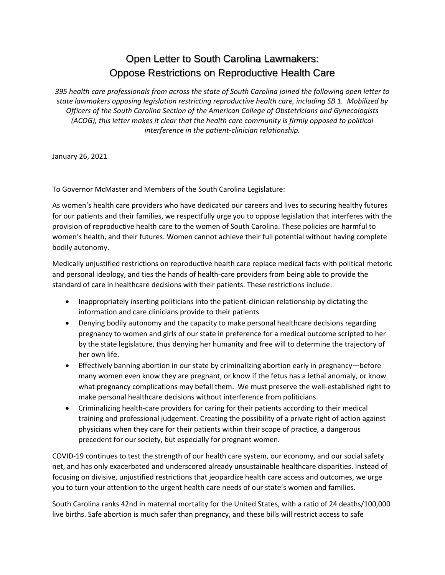## Open Letter to South Carolina Lawmakers: Oppose Restrictions on Reproductive Health Care

*395 health care professionals from across the state of South Carolina joined the following open letter to state lawmakers opposing legislation restricting reproductive health care, including SB 1. Mobilized by Officers of the South Carolina Section of the American College of Obstetricians and Gynecologists (ACOG), this letter makes it clear that the health care community is firmly opposed to political interference in the patient-clinician relationship.*

January 26, 2021

To Governor McMaster and Members of the South Carolina Legislature:

As women's health care providers who have dedicated our careers and lives to securing healthy futures for our patients and their families, we respectfully urge you to oppose legislation that interferes with the provision of reproductive health care to the women of South Carolina. These policies are harmful to women's health, and their futures. Women cannot achieve their full potential without having complete bodily autonomy.

Medically unjustified restrictions on reproductive health care replace medical facts with political rhetoric and personal ideology, and ties the hands of health-care providers from being able to provide the standard of care in healthcare decisions with their patients. These restrictions include:

- Inappropriately inserting politicians into the patient-clinician relationship by dictating the information and care clinicians provide to their patients
- Denying bodily autonomy and the capacity to make personal healthcare decisions regarding pregnancy to women and girls of our state in preference for a medical outcome scripted to her by the state legislature, thus denying her humanity and free will to determine the trajectory of her own life.
- Effectively banning abortion in our state by criminalizing abortion early in pregnancy—before many women even know they are pregnant, or know if the fetus has a lethal anomaly, or know what pregnancy complications may befall them. We must preserve the well-established right to make personal healthcare decisions without interference from politicians.
- Criminalizing health-care providers for caring for their patients according to their medical training and professional judgement. Creating the possibility of a private right of action against physicians when they care for their patients within their scope of practice, a dangerous precedent for our society, but especially for pregnant women.

COVID-19 continues to test the strength of our health care system, our economy, and our social safety net, and has only exacerbated and underscored already unsustainable healthcare disparities. Instead of focusing on divisive, unjustified restrictions that jeopardize health care access and outcomes, we urge you to turn your attention to the urgent health care needs of our state's women and families.

South Carolina ranks 42nd in maternal mortality for the United States, with a ratio of 24 deaths/100,000 live births. Safe abortion is much safer than pregnancy, and these bills will restrict access to safe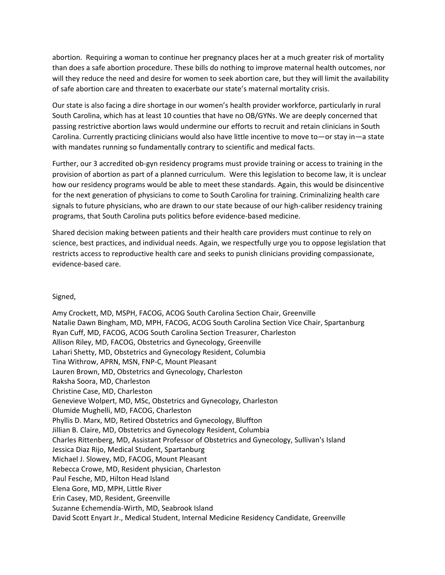abortion. Requiring a woman to continue her pregnancy places her at a much greater risk of mortality than does a safe abortion procedure. These bills do nothing to improve maternal health outcomes, nor will they reduce the need and desire for women to seek abortion care, but they will limit the availability of safe abortion care and threaten to exacerbate our state's maternal mortality crisis.

Our state is also facing a dire shortage in our women's health provider workforce, particularly in rural South Carolina, which has at least 10 counties that have no OB/GYNs. We are deeply concerned that passing restrictive abortion laws would undermine our efforts to recruit and retain clinicians in South Carolina. Currently practicing clinicians would also have little incentive to move to—or stay in—a state with mandates running so fundamentally contrary to scientific and medical facts.

Further, our 3 accredited ob-gyn residency programs must provide training or access to training in the provision of abortion as part of a planned curriculum. Were this legislation to become law, it is unclear how our residency programs would be able to meet these standards. Again, this would be disincentive for the next generation of physicians to come to South Carolina for training. Criminalizing health care signals to future physicians, who are drawn to our state because of our high-caliber residency training programs, that South Carolina puts politics before evidence-based medicine.

Shared decision making between patients and their health care providers must continue to rely on science, best practices, and individual needs. Again, we respectfully urge you to oppose legislation that restricts access to reproductive health care and seeks to punish clinicians providing compassionate, evidence-based care.

## Signed,

Amy Crockett, MD, MSPH, FACOG, ACOG South Carolina Section Chair, Greenville Natalie Dawn Bingham, MD, MPH, FACOG, ACOG South Carolina Section Vice Chair, Spartanburg Ryan Cuff, MD, FACOG, ACOG South Carolina Section Treasurer, Charleston Allison Riley, MD, FACOG, Obstetrics and Gynecology, Greenville Lahari Shetty, MD, Obstetrics and Gynecology Resident, Columbia Tina Withrow, APRN, MSN, FNP-C, Mount Pleasant Lauren Brown, MD, Obstetrics and Gynecology, Charleston Raksha Soora, MD, Charleston Christine Case, MD, Charleston Genevieve Wolpert, MD, MSc, Obstetrics and Gynecology, Charleston Olumide Mughelli, MD, FACOG, Charleston Phyllis D. Marx, MD, Retired Obstetrics and Gynecology, Bluffton Jillian B. Claire, MD, Obstetrics and Gynecology Resident, Columbia Charles Rittenberg, MD, Assistant Professor of Obstetrics and Gynecology, Sullivan's Island Jessica Diaz Rijo, Medical Student, Spartanburg Michael J. Slowey, MD, FACOG, Mount Pleasant Rebecca Crowe, MD, Resident physician, Charleston Paul Fesche, MD, Hilton Head Island Elena Gore, MD, MPH, Little River Erin Casey, MD, Resident, Greenville Suzanne Echemendía-Wirth, MD, Seabrook Island David Scott Enyart Jr., Medical Student, Internal Medicine Residency Candidate, Greenville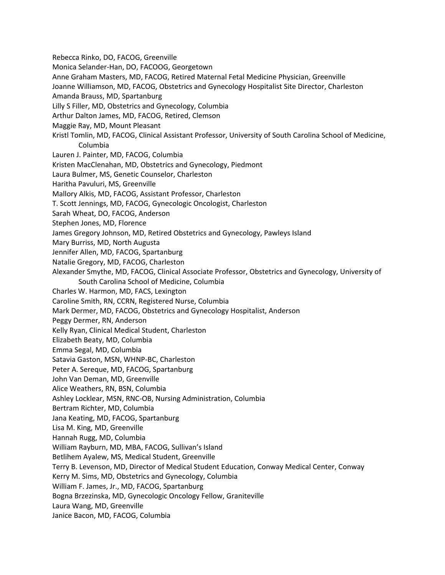Rebecca Rinko, DO, FACOG, Greenville Monica Selander-Han, DO, FACOOG, Georgetown Anne Graham Masters, MD, FACOG, Retired Maternal Fetal Medicine Physician, Greenville Joanne Williamson, MD, FACOG, Obstetrics and Gynecology Hospitalist Site Director, Charleston Amanda Brauss, MD, Spartanburg Lilly S Filler, MD, Obstetrics and Gynecology, Columbia Arthur Dalton James, MD, FACOG, Retired, Clemson Maggie Ray, MD, Mount Pleasant Kristl Tomlin, MD, FACOG, Clinical Assistant Professor, University of South Carolina School of Medicine, Columbia Lauren J. Painter, MD, FACOG, Columbia Kristen MacClenahan, MD, Obstetrics and Gynecology, Piedmont Laura Bulmer, MS, Genetic Counselor, Charleston Haritha Pavuluri, MS, Greenville Mallory Alkis, MD, FACOG, Assistant Professor, Charleston T. Scott Jennings, MD, FACOG, Gynecologic Oncologist, Charleston Sarah Wheat, DO, FACOG, Anderson Stephen Jones, MD, Florence James Gregory Johnson, MD, Retired Obstetrics and Gynecology, Pawleys Island Mary Burriss, MD, North Augusta Jennifer Allen, MD, FACOG, Spartanburg Natalie Gregory, MD, FACOG, Charleston Alexander Smythe, MD, FACOG, Clinical Associate Professor, Obstetrics and Gynecology, University of South Carolina School of Medicine, Columbia Charles W. Harmon, MD, FACS, Lexington Caroline Smith, RN, CCRN, Registered Nurse, Columbia Mark Dermer, MD, FACOG, Obstetrics and Gynecology Hospitalist, Anderson Peggy Dermer, RN, Anderson Kelly Ryan, Clinical Medical Student, Charleston Elizabeth Beaty, MD, Columbia Emma Segal, MD, Columbia Satavia Gaston, MSN, WHNP-BC, Charleston Peter A. Sereque, MD, FACOG, Spartanburg John Van Deman, MD, Greenville Alice Weathers, RN, BSN, Columbia Ashley Locklear, MSN, RNC-OB, Nursing Administration, Columbia Bertram Richter, MD, Columbia Jana Keating, MD, FACOG, Spartanburg Lisa M. King, MD, Greenville Hannah Rugg, MD, Columbia William Rayburn, MD, MBA, FACOG, Sullivan's Island Betlihem Ayalew, MS, Medical Student, Greenville Terry B. Levenson, MD, Director of Medical Student Education, Conway Medical Center, Conway Kerry M. Sims, MD, Obstetrics and Gynecology, Columbia William F. James, Jr., MD, FACOG, Spartanburg Bogna Brzezinska, MD, Gynecologic Oncology Fellow, Graniteville Laura Wang, MD, Greenville Janice Bacon, MD, FACOG, Columbia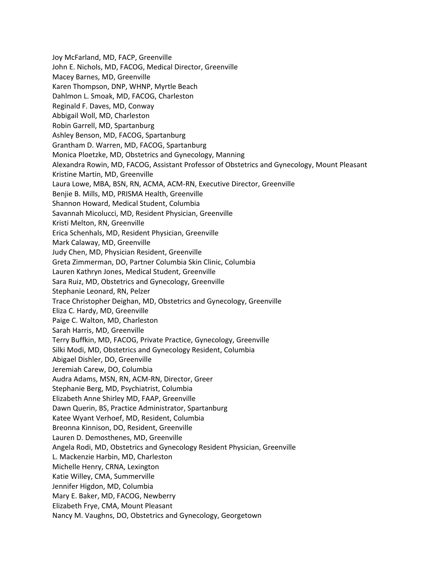Joy McFarland, MD, FACP, Greenville John E. Nichols, MD, FACOG, Medical Director, Greenville Macey Barnes, MD, Greenville Karen Thompson, DNP, WHNP, Myrtle Beach Dahlmon L. Smoak, MD, FACOG, Charleston Reginald F. Daves, MD, Conway Abbigail Woll, MD, Charleston Robin Garrell, MD, Spartanburg Ashley Benson, MD, FACOG, Spartanburg Grantham D. Warren, MD, FACOG, Spartanburg Monica Ploetzke, MD, Obstetrics and Gynecology, Manning Alexandra Rowin, MD, FACOG, Assistant Professor of Obstetrics and Gynecology, Mount Pleasant Kristine Martin, MD, Greenville Laura Lowe, MBA, BSN, RN, ACMA, ACM-RN, Executive Director, Greenville Benjie B. Mills, MD, PRISMA Health, Greenville Shannon Howard, Medical Student, Columbia Savannah Micolucci, MD, Resident Physician, Greenville Kristi Melton, RN, Greenville Erica Schenhals, MD, Resident Physician, Greenville Mark Calaway, MD, Greenville Judy Chen, MD, Physician Resident, Greenville Greta Zimmerman, DO, Partner Columbia Skin Clinic, Columbia Lauren Kathryn Jones, Medical Student, Greenville Sara Ruiz, MD, Obstetrics and Gynecology, Greenville Stephanie Leonard, RN, Pelzer Trace Christopher Deighan, MD, Obstetrics and Gynecology, Greenville Eliza C. Hardy, MD, Greenville Paige C. Walton, MD, Charleston Sarah Harris, MD, Greenville Terry Buffkin, MD, FACOG, Private Practice, Gynecology, Greenville Silki Modi, MD, Obstetrics and Gynecology Resident, Columbia Abigael Dishler, DO, Greenville Jeremiah Carew, DO, Columbia Audra Adams, MSN, RN, ACM-RN, Director, Greer Stephanie Berg, MD, Psychiatrist, Columbia Elizabeth Anne Shirley MD, FAAP, Greenville Dawn Querin, BS, Practice Administrator, Spartanburg Katee Wyant Verhoef, MD, Resident, Columbia Breonna Kinnison, DO, Resident, Greenville Lauren D. Demosthenes, MD, Greenville Angela Rodi, MD, Obstetrics and Gynecology Resident Physician, Greenville L. Mackenzie Harbin, MD, Charleston Michelle Henry, CRNA, Lexington Katie Willey, CMA, Summerville Jennifer Higdon, MD, Columbia Mary E. Baker, MD, FACOG, Newberry Elizabeth Frye, CMA, Mount Pleasant Nancy M. Vaughns, DO, Obstetrics and Gynecology, Georgetown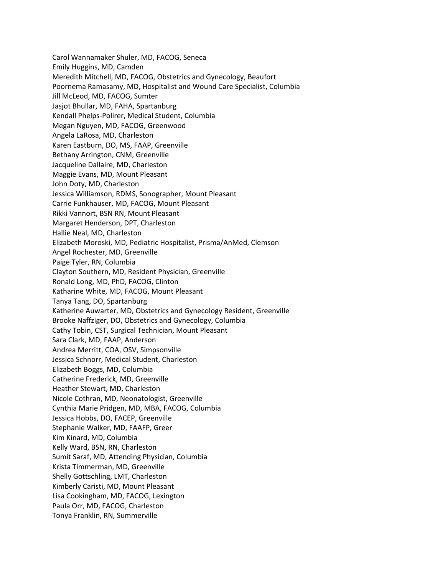Carol Wannamaker Shuler, MD, FACOG, Seneca Emily Huggins, MD, Camden Meredith Mitchell, MD, FACOG, Obstetrics and Gynecology, Beaufort Poornema Ramasamy, MD, Hospitalist and Wound Care Specialist, Columbia Jill McLeod, MD, FACOG, Sumter Jasjot Bhullar, MD, FAHA, Spartanburg Kendall Phelps-Polirer, Medical Student, Columbia Megan Nguyen, MD, FACOG, Greenwood Angela LaRosa, MD, Charleston Karen Eastburn, DO, MS, FAAP, Greenville Bethany Arrington, CNM, Greenville Jacqueline Dallaire, MD, Charleston Maggie Evans, MD, Mount Pleasant John Doty, MD, Charleston Jessica Williamson, RDMS, Sonographer, Mount Pleasant Carrie Funkhauser, MD, FACOG, Mount Pleasant Rikki Vannort, BSN RN, Mount Pleasant Margaret Henderson, DPT, Charleston Hallie Neal, MD, Charleston Elizabeth Moroski, MD, Pediatric Hospitalist, Prisma/AnMed, Clemson Angel Rochester, MD, Greenville Paige Tyler, RN, Columbia Clayton Southern, MD, Resident Physician, Greenville Ronald Long, MD, PhD, FACOG, Clinton Katharine White, MD, FACOG, Mount Pleasant Tanya Tang, DO, Spartanburg Katherine Auwarter, MD, Obstetrics and Gynecology Resident, Greenville Brooke Naffziger, DO, Obstetrics and Gynecology, Columbia Cathy Tobin, CST, Surgical Technician, Mount Pleasant Sara Clark, MD, FAAP, Anderson Andrea Merritt, COA, OSV, Simpsonville Jessica Schnorr, Medical Student, Charleston Elizabeth Boggs, MD, Columbia Catherine Frederick, MD, Greenville Heather Stewart, MD, Charleston Nicole Cothran, MD, Neonatologist, Greenville Cynthia Marie Pridgen, MD, MBA, FACOG, Columbia Jessica Hobbs, DO, FACEP, Greenville Stephanie Walker, MD, FAAFP, Greer Kim Kinard, MD, Columbia Kelly Ward, BSN, RN, Charleston Sumit Saraf, MD, Attending Physician, Columbia Krista Timmerman, MD, Greenville Shelly Gottschling, LMT, Charleston Kimberly Caristi, MD, Mount Pleasant Lisa Cookingham, MD, FACOG, Lexington Paula Orr, MD, FACOG, Charleston Tonya Franklin, RN, Summerville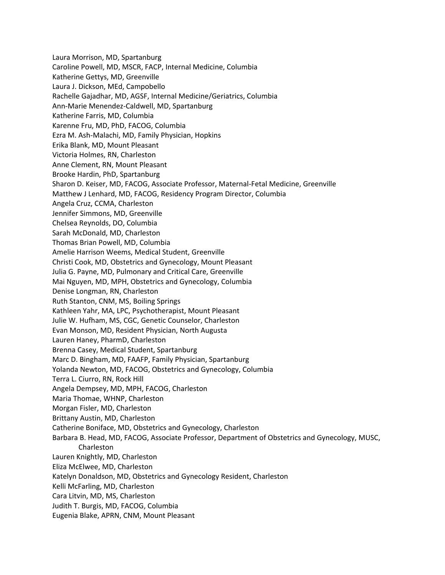Laura Morrison, MD, Spartanburg Caroline Powell, MD, MSCR, FACP, Internal Medicine, Columbia Katherine Gettys, MD, Greenville Laura J. Dickson, MEd, Campobello Rachelle Gajadhar, MD, AGSF, Internal Medicine/Geriatrics, Columbia Ann-Marie Menendez-Caldwell, MD, Spartanburg Katherine Farris, MD, Columbia Karenne Fru, MD, PhD, FACOG, Columbia Ezra M. Ash-Malachi, MD, Family Physician, Hopkins Erika Blank, MD, Mount Pleasant Victoria Holmes, RN, Charleston Anne Clement, RN, Mount Pleasant Brooke Hardin, PhD, Spartanburg Sharon D. Keiser, MD, FACOG, Associate Professor, Maternal-Fetal Medicine, Greenville Matthew J Lenhard, MD, FACOG, Residency Program Director, Columbia Angela Cruz, CCMA, Charleston Jennifer Simmons, MD, Greenville Chelsea Reynolds, DO, Columbia Sarah McDonald, MD, Charleston Thomas Brian Powell, MD, Columbia Amelie Harrison Weems, Medical Student, Greenville Christi Cook, MD, Obstetrics and Gynecology, Mount Pleasant Julia G. Payne, MD, Pulmonary and Critical Care, Greenville Mai Nguyen, MD, MPH, Obstetrics and Gynecology, Columbia Denise Longman, RN, Charleston Ruth Stanton, CNM, MS, Boiling Springs Kathleen Yahr, MA, LPC, Psychotherapist, Mount Pleasant Julie W. Hufham, MS, CGC, Genetic Counselor, Charleston Evan Monson, MD, Resident Physician, North Augusta Lauren Haney, PharmD, Charleston Brenna Casey, Medical Student, Spartanburg Marc D. Bingham, MD, FAAFP, Family Physician, Spartanburg Yolanda Newton, MD, FACOG, Obstetrics and Gynecology, Columbia Terra L. Ciurro, RN, Rock Hill Angela Dempsey, MD, MPH, FACOG, Charleston Maria Thomae, WHNP, Charleston Morgan Fisler, MD, Charleston Brittany Austin, MD, Charleston Catherine Boniface, MD, Obstetrics and Gynecology, Charleston Barbara B. Head, MD, FACOG, Associate Professor, Department of Obstetrics and Gynecology, MUSC, Charleston Lauren Knightly, MD, Charleston Eliza McElwee, MD, Charleston Katelyn Donaldson, MD, Obstetrics and Gynecology Resident, Charleston Kelli McFarling, MD, Charleston Cara Litvin, MD, MS, Charleston Judith T. Burgis, MD, FACOG, Columbia Eugenia Blake, APRN, CNM, Mount Pleasant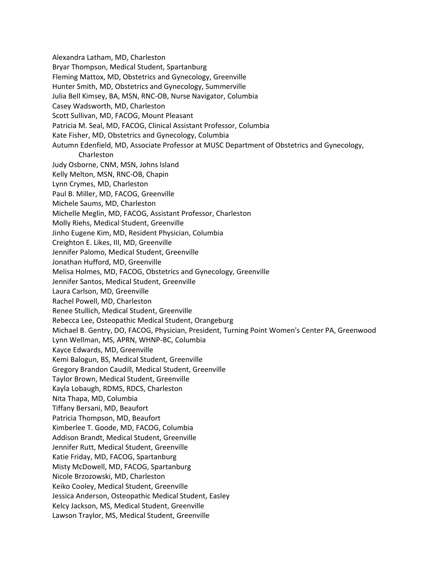Alexandra Latham, MD, Charleston Bryar Thompson, Medical Student, Spartanburg Fleming Mattox, MD, Obstetrics and Gynecology, Greenville Hunter Smith, MD, Obstetrics and Gynecology, Summerville Julia Bell Kimsey, BA, MSN, RNC-OB, Nurse Navigator, Columbia Casey Wadsworth, MD, Charleston Scott Sullivan, MD, FACOG, Mount Pleasant Patricia M. Seal, MD, FACOG, Clinical Assistant Professor, Columbia Kate Fisher, MD, Obstetrics and Gynecology, Columbia Autumn Edenfield, MD, Associate Professor at MUSC Department of Obstetrics and Gynecology, Charleston Judy Osborne, CNM, MSN, Johns Island Kelly Melton, MSN, RNC-OB, Chapin Lynn Crymes, MD, Charleston Paul B. Miller, MD, FACOG, Greenville Michele Saums, MD, Charleston Michelle Meglin, MD, FACOG, Assistant Professor, Charleston Molly Riehs, Medical Student, Greenville Jinho Eugene Kim, MD, Resident Physician, Columbia Creighton E. Likes, III, MD, Greenville Jennifer Palomo, Medical Student, Greenville Jonathan Hufford, MD, Greenville Melisa Holmes, MD, FACOG, Obstetrics and Gynecology, Greenville Jennifer Santos, Medical Student, Greenville Laura Carlson, MD, Greenville Rachel Powell, MD, Charleston Renee Stullich, Medical Student, Greenville Rebecca Lee, Osteopathic Medical Student, Orangeburg Michael B. Gentry, DO, FACOG, Physician, President, Turning Point Women's Center PA, Greenwood Lynn Wellman, MS, APRN, WHNP-BC, Columbia Kayce Edwards, MD, Greenville Kemi Balogun, BS, Medical Student, Greenville Gregory Brandon Caudill, Medical Student, Greenville Taylor Brown, Medical Student, Greenville Kayla Lobaugh, RDMS, RDCS, Charleston Nita Thapa, MD, Columbia Tiffany Bersani, MD, Beaufort Patricia Thompson, MD, Beaufort Kimberlee T. Goode, MD, FACOG, Columbia Addison Brandt, Medical Student, Greenville Jennifer Rutt, Medical Student, Greenville Katie Friday, MD, FACOG, Spartanburg Misty McDowell, MD, FACOG, Spartanburg Nicole Brzozowski, MD, Charleston Keiko Cooley, Medical Student, Greenville Jessica Anderson, Osteopathic Medical Student, Easley Kelcy Jackson, MS, Medical Student, Greenville Lawson Traylor, MS, Medical Student, Greenville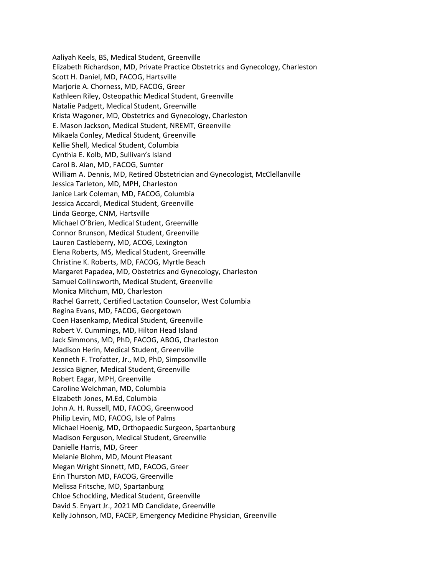Aaliyah Keels, BS, Medical Student, Greenville Elizabeth Richardson, MD, Private Practice Obstetrics and Gynecology, Charleston Scott H. Daniel, MD, FACOG, Hartsville Marjorie A. Chorness, MD, FACOG, Greer Kathleen Riley, Osteopathic Medical Student, Greenville Natalie Padgett, Medical Student, Greenville Krista Wagoner, MD, Obstetrics and Gynecology, Charleston E. Mason Jackson, Medical Student, NREMT, Greenville Mikaela Conley, Medical Student, Greenville Kellie Shell, Medical Student, Columbia Cynthia E. Kolb, MD, Sullivan's Island Carol B. Alan, MD, FACOG, Sumter William A. Dennis, MD, Retired Obstetrician and Gynecologist, McClellanville Jessica Tarleton, MD, MPH, Charleston Janice Lark Coleman, MD, FACOG, Columbia Jessica Accardi, Medical Student, Greenville Linda George, CNM, Hartsville Michael O'Brien, Medical Student, Greenville Connor Brunson, Medical Student, Greenville Lauren Castleberry, MD, ACOG, Lexington Elena Roberts, MS, Medical Student, Greenville Christine K. Roberts, MD, FACOG, Myrtle Beach Margaret Papadea, MD, Obstetrics and Gynecology, Charleston Samuel Collinsworth, Medical Student, Greenville Monica Mitchum, MD, Charleston Rachel Garrett, Certified Lactation Counselor, West Columbia Regina Evans, MD, FACOG, Georgetown Coen Hasenkamp, Medical Student, Greenville Robert V. Cummings, MD, Hilton Head Island Jack Simmons, MD, PhD, FACOG, ABOG, Charleston Madison Herin, Medical Student, Greenville Kenneth F. Trofatter, Jr., MD, PhD, Simpsonville Jessica Bigner, Medical Student,Greenville Robert Eagar, MPH, Greenville Caroline Welchman, MD, Columbia Elizabeth Jones, M.Ed, Columbia John A. H. Russell, MD, FACOG, Greenwood Philip Levin, MD, FACOG, Isle of Palms Michael Hoenig, MD, Orthopaedic Surgeon, Spartanburg Madison Ferguson, Medical Student, Greenville Danielle Harris, MD, Greer Melanie Blohm, MD, Mount Pleasant Megan Wright Sinnett, MD, FACOG, Greer Erin Thurston MD, FACOG, Greenville Melissa Fritsche, MD, Spartanburg Chloe Schockling, Medical Student, Greenville David S. Enyart Jr., 2021 MD Candidate, Greenville Kelly Johnson, MD, FACEP, Emergency Medicine Physician, Greenville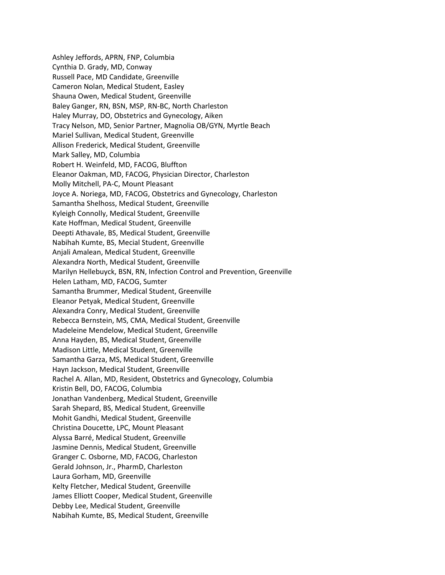Ashley Jeffords, APRN, FNP, Columbia Cynthia D. Grady, MD, Conway Russell Pace, MD Candidate, Greenville Cameron Nolan, Medical Student, Easley Shauna Owen, Medical Student, Greenville Baley Ganger, RN, BSN, MSP, RN-BC, North Charleston Haley Murray, DO, Obstetrics and Gynecology, Aiken Tracy Nelson, MD, Senior Partner, Magnolia OB/GYN, Myrtle Beach Mariel Sullivan, Medical Student, Greenville Allison Frederick, Medical Student, Greenville Mark Salley, MD, Columbia Robert H. Weinfeld, MD, FACOG, Bluffton Eleanor Oakman, MD, FACOG, Physician Director, Charleston Molly Mitchell, PA-C, Mount Pleasant Joyce A. Noriega, MD, FACOG, Obstetrics and Gynecology, Charleston Samantha Shelhoss, Medical Student, Greenville Kyleigh Connolly, Medical Student, Greenville Kate Hoffman, Medical Student, Greenville Deepti Athavale, BS, Medical Student, Greenville Nabihah Kumte, BS, Mecial Student, Greenville Anjali Amalean, Medical Student, Greenville Alexandra North, Medical Student, Greenville Marilyn Hellebuyck, BSN, RN, Infection Control and Prevention, Greenville Helen Latham, MD, FACOG, Sumter Samantha Brummer, Medical Student, Greenville Eleanor Petyak, Medical Student, Greenville Alexandra Conry, Medical Student, Greenville Rebecca Bernstein, MS, CMA, Medical Student, Greenville Madeleine Mendelow, Medical Student, Greenville Anna Hayden, BS, Medical Student, Greenville Madison Little, Medical Student, Greenville Samantha Garza, MS, Medical Student, Greenville Hayn Jackson, Medical Student, Greenville Rachel A. Allan, MD, Resident, Obstetrics and Gynecology, Columbia Kristin Bell, DO, FACOG, Columbia Jonathan Vandenberg, Medical Student, Greenville Sarah Shepard, BS, Medical Student, Greenville Mohit Gandhi, Medical Student, Greenville Christina Doucette, LPC, Mount Pleasant Alyssa Barré, Medical Student, Greenville Jasmine Dennis, Medical Student, Greenville Granger C. Osborne, MD, FACOG, Charleston Gerald Johnson, Jr., PharmD, Charleston Laura Gorham, MD, Greenville Kelty Fletcher, Medical Student, Greenville James Elliott Cooper, Medical Student, Greenville Debby Lee, Medical Student, Greenville Nabihah Kumte, BS, Medical Student, Greenville